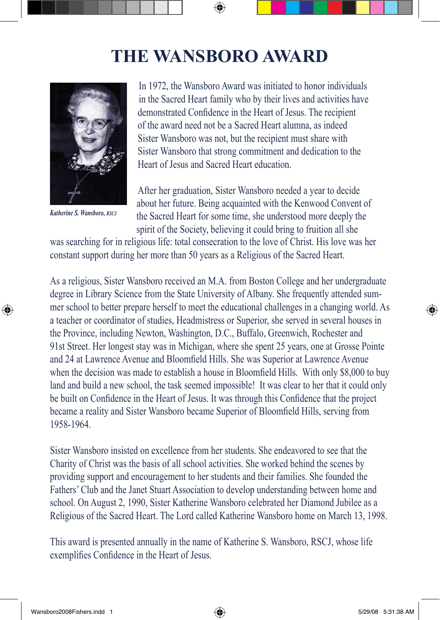## **The Wansboro Award**

⊕



⊕

In 1972, the Wansboro Award was initiated to honor individuals in the Sacred Heart family who by their lives and activities have demonstrated Confidence in the Heart of Jesus. The recipient of the award need not be a Sacred Heart alumna, as indeed Sister Wansboro was not, but the recipient must share with Sister Wansboro that strong commitment and dedication to the Heart of Jesus and Sacred Heart education.

After her graduation, Sister Wansboro needed a year to decide about her future. Being acquainted with the Kenwood Convent of *Katherine S. Wansboro, RSCJ* the Sacred Heart for some time, she understood more deeply the spirit of the Society, believing it could bring to fruition all she

was searching for in religious life: total consecration to the love of Christ. His love was her constant support during her more than 50 years as a Religious of the Sacred Heart.

As a religious, Sister Wansboro received an M.A. from Boston College and her undergraduate degree in Library Science from the State University of Albany. She frequently attended summer school to better prepare herself to meet the educational challenges in a changing world. As a teacher or coordinator of studies, Headmistress or Superior, she served in several houses in the Province, including Newton, Washington, D.C., Buffalo, Greenwich, Rochester and 91st Street. Her longest stay was in Michigan, where she spent 25 years, one at Grosse Pointe and 24 at Lawrence Avenue and Bloomfield Hills. She was Superior at Lawrence Avenue when the decision was made to establish a house in Bloomfield Hills. With only \$8,000 to buy land and build a new school, the task seemed impossible! It was clear to her that it could only be built on Confidence in the Heart of Jesus. It was through this Confidence that the project became a reality and Sister Wansboro became Superior of Bloomfield Hills, serving from 1958-1964.

Sister Wansboro insisted on excellence from her students. She endeavored to see that the Charity of Christ was the basis of all school activities. She worked behind the scenes by providing support and encouragement to her students and their families. She founded the Fathers' Club and the Janet Stuart Association to develop understanding between home and school. On August 2, 1990, Sister Katherine Wansboro celebrated her Diamond Jubilee as a Religious of the Sacred Heart. The Lord called Katherine Wansboro home on March 13, 1998.

This award is presented annually in the name of Katherine S. Wansboro, RSCJ, whose life exemplifies Confidence in the Heart of Jesus.

⊕